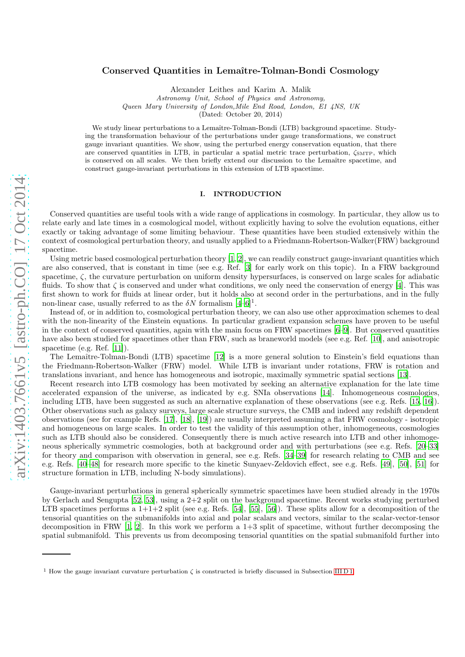# Conserved Quantities in Lemaître-Tolman-Bondi Cosmology

Alexander Leithes and Karim A. Malik

Astronomy Unit, School of Physics and Astronomy, Queen Mary University of London,Mile End Road, London, E1 4NS, UK

(Dated: October 20, 2014)

We study linear perturbations to a Lemaître-Tolman-Bondi (LTB) background spacetime. Studying the transformation behaviour of the perturbations under gauge transformations, we construct gauge invariant quantities. We show, using the perturbed energy conservation equation, that there are conserved quantities in LTB, in particular a spatial metric trace perturbation,  $\zeta_{\text{MTP}}$ , which is conserved on all scales. We then briefly extend our discussion to the Lemaître spacetime, and construct gauge-invariant perturbations in this extension of LTB spacetime.

# I. INTRODUCTION

Conserved quantities are useful tools with a wide range of applications in cosmology. In particular, they allow us to relate early and late times in a cosmological model, without explicitly having to solve the evolution equations, either exactly or taking advantage of some limiting behaviour. These quantities have been studied extensively within the context of cosmological perturbation theory, and usually applied to a Friedmann-Robertson-Walker(FRW) background spacetime.

Using metric based cosmological perturbation theory  $[1, 2]$  $[1, 2]$ , we can readily construct gauge-invariant quantities which are also conserved, that is constant in time (see e.g. Ref. [\[3\]](#page-14-2) for early work on this topic). In a FRW background spacetime,  $\zeta$ , the curvature perturbation on uniform density hypersurfaces, is conserved on large scales for adiabatic fluids. To show that  $\zeta$  is conserved and under what conditions, we only need the conservation of energy [\[4\]](#page-14-3). This was first shown to work for fluids at linear order, but it holds also at second order in the perturbations, and in the fully non-linear case, usually referred to as the  $\delta N$  formalism  $[4-6]$ <sup>1</sup>.

Instead of, or in addition to, cosmological perturbation theory, we can also use other approximation schemes to deal with the non-linearity of the Einstein equations. In particular gradient expansion schemes have proven to be useful in the context of conserved quantities, again with the main focus on FRW spacetimes [\[6](#page-14-4)[–9\]](#page-14-5). But conserved quantities have also been studied for spacetimes other than FRW, such as braneworld models (see e.g. Ref. [\[10\]](#page-14-6), and anisotropic spacetime (e.g. Ref. [\[11\]](#page-14-7)).

The Lemaître-Tolman-Bondi (LTB) spacetime [\[12\]](#page-14-8) is a more general solution to Einstein's field equations than the Friedmann-Robertson-Walker (FRW) model. While LTB is invariant under rotations, FRW is rotation and translations invariant, and hence has homogeneous and isotropic, maximally symmetric spatial sections [\[13\]](#page-14-9).

Recent research into LTB cosmology has been motivated by seeking an alternative explanation for the late time accelerated expansion of the universe, as indicated by e.g. SNIa observations [\[14](#page-15-0)]. Inhomogeneous cosmologies, including LTB, have been suggested as such an alternative explanation of these observations (see e.g. Refs. [\[15,](#page-15-1) [16\]](#page-15-2)). Other observations such as galaxy surveys, large scale structure surveys, the CMB and indeed any redshift dependent observations (see for example Refs. [\[17\]](#page-15-3), [\[18](#page-15-4)], [\[19\]](#page-15-5)) are usually interpreted assuming a flat FRW cosmology - isotropic and homogeneous on large scales. In order to test the validity of this assumption other, inhomogeneous, cosmologies such as LTB should also be considered. Consequently there is much active research into LTB and other inhomogeneous spherically symmetric cosmologies, both at background order and with perturbations (see e.g. Refs. [\[20](#page-15-6)[–33\]](#page-15-7) for theory and comparison with observation in general, see e.g. Refs. [\[34–](#page-15-8)[39\]](#page-15-9) for research relating to CMB and see e.g. Refs. [\[40](#page-15-10)[–48\]](#page-15-11) for research more specific to the kinetic Sunyaev-Zeldovich effect, see e.g. Refs. [\[49](#page-15-12)], [\[50\]](#page-15-13), [\[51\]](#page-15-14) for structure formation in LTB, including N-body simulations).

Gauge-invariant perturbations in general spherically symmetric spacetimes have been studied already in the 1970s by Gerlach and Sengupta [\[52](#page-15-15), [53](#page-15-16)], using a 2+2 split on the background spacetime. Recent works studying perturbed LTB spacetimes performs a  $1+1+2$  split (see e.g. Refs. [\[54](#page-15-17)], [\[55\]](#page-15-18), [\[56\]](#page-15-19)). These splits allow for a decomposition of the tensorial quantities on the submanifolds into axial and polar scalars and vectors, similar to the scalar-vector-tensor decomposition in FRW  $[1, 2]$  $[1, 2]$ . In this work we perform a  $1+3$  split of spacetime, without further decomposing the spatial submanifold. This prevents us from decomposing tensorial quantities on the spatial submanifold further into

<sup>&</sup>lt;sup>1</sup> How the gauge invariant curvature perturbation  $\zeta$  is constructed is briefly discussed in Subsection [III D 1.](#page-6-0)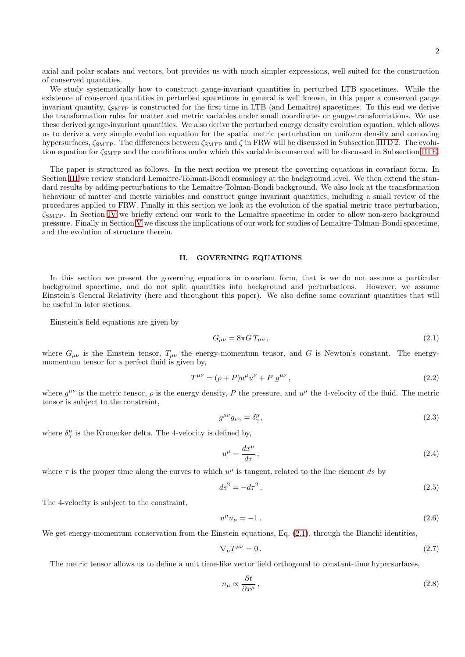2

axial and polar scalars and vectors, but provides us with much simpler expressions, well suited for the construction of conserved quantities.

We study systematically how to construct gauge-invariant quantities in perturbed LTB spacetimes. While the existence of conserved quantities in perturbed spacetimes in general is well known, in this paper a conserved gauge invariant quantity,  $\zeta_{\text{SMTP}}$  is constructed for the first time in LTB (and Lemaître) spacetimes. To this end we derive the transformation rules for matter and metric variables under small coordinate- or gauge-transformations. We use these derived gauge-invariant quantities. We also derive the perturbed energy density evolution equation, which allows us to derive a very simple evolution equation for the spatial metric perturbation on uniform density and comoving hypersurfaces,  $\zeta_{SMTP}$ . The differences between  $\zeta_{SMTP}$  and  $\zeta$  in FRW will be discussed in Subsection [III D 2.](#page-7-0) The evolution equation for  $\zeta_{\text{SMTP}}$  and the conditions under which this variable is conserved will be discussed in Subsection [III E.](#page-8-0)

The paper is structured as follows. In the next section we present the governing equations in covariant form. In Section [III](#page-2-0) we review standard Lemaître-Tolman-Bondi cosmology at the background level. We then extend the standard results by adding perturbations to the Lemaître-Tolman-Bondi background. We also look at the transformation behaviour of matter and metric variables and construct gauge invariant quantities, including a small review of the procedures applied to FRW. Finally in this section we look at the evolution of the spatial metric trace perturbation,  $\zeta_{\text{SMTP}}$ . In Section [IV](#page-9-0) we briefly extend our work to the Lemaître spacetime in order to allow non-zero background pressure. Finally in Section [V](#page-11-0) we discuss the implications of our work for studies of Lemaˆıtre-Tolman-Bondi spacetime, and the evolution of structure therein.

#### II. GOVERNING EQUATIONS

In this section we present the governing equations in covariant form, that is we do not assume a particular background spacetime, and do not split quantities into background and perturbations. However, we assume Einstein's General Relativity (here and throughout this paper). We also define some covariant quantities that will be useful in later sections.

Einstein's field equations are given by

<span id="page-1-0"></span>
$$
G_{\mu\nu} = 8\pi G T_{\mu\nu},\qquad(2.1)
$$

where  $G_{\mu\nu}$  is the Einstein tensor,  $T_{\mu\nu}$  the energy-momentum tensor, and G is Newton's constant. The energymomentum tensor for a perfect fluid is given by,

<span id="page-1-2"></span>
$$
T^{\mu\nu} = (\rho + P)u^{\mu}u^{\nu} + P g^{\mu\nu}, \qquad (2.2)
$$

where  $g^{\mu\nu}$  is the metric tensor,  $\rho$  is the energy density, P the pressure, and  $u^{\mu}$  the 4-velocity of the fluid. The metric tensor is subject to the constraint,

<span id="page-1-4"></span>
$$
g^{\mu\nu}g_{\nu\gamma} = \delta^{\mu}_{\gamma},\tag{2.3}
$$

where  $\delta_{\gamma}^{\mu}$  is the Kronecker delta. The 4-velocity is defined by,

<span id="page-1-1"></span>
$$
u^{\mu} = \frac{dx^{\mu}}{d\tau},\tag{2.4}
$$

where  $\tau$  is the proper time along the curves to which  $u^{\mu}$  is tangent, related to the line element ds by

$$
ds^2 = -d\tau^2\,. \tag{2.5}
$$

The 4-velocity is subject to the constraint,

$$
u^{\mu}u_{\mu} = -1. \tag{2.6}
$$

We get energy-momentum conservation from the Einstein equations, Eq.  $(2.1)$ , through the Bianchi identities,

<span id="page-1-3"></span>
$$
\nabla_{\mu}T^{\mu\nu} = 0. \tag{2.7}
$$

The metric tensor allows us to define a unit time-like vector field orthogonal to constant-time hypersurfaces,

$$
n_{\mu} \propto \frac{\partial t}{\partial x^{\mu}},\tag{2.8}
$$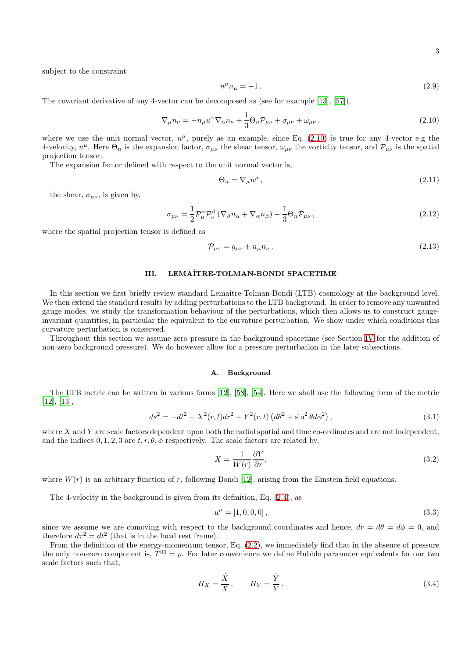subject to the constraint

$$
n^{\mu}n_{\mu} = -1. \tag{2.9}
$$

The covariant derivative of any 4-vector can be decomposed as (see for example [\[13](#page-14-9)], [\[57\]](#page-15-20)),

<span id="page-2-1"></span>
$$
\nabla_{\mu} n_{\nu} = -n_{\mu} u^{\alpha} \nabla_{\alpha} n_{\nu} + \frac{1}{3} \Theta_n \mathcal{P}_{\mu \nu} + \sigma_{\mu \nu} + \omega_{\mu \nu} , \qquad (2.10)
$$

where we use the unit normal vector,  $n^{\mu}$ , purely as an example, since Eq. [\(2.10\)](#page-2-1) is true for any 4-vector e.g the 4-velocity,  $u^{\mu}$ . Here  $\Theta_n$  is the expansion factor,  $\sigma_{\mu\nu}$  the shear tensor,  $\omega_{\mu\nu}$  the vorticity tensor, and  $\mathcal{P}_{\mu\nu}$  is the spatial projection tensor.

The expansion factor defined with respect to the unit normal vector is,

<span id="page-2-3"></span>
$$
\Theta_n = \nabla_\mu n^\mu \,,\tag{2.11}
$$

the shear,  $\sigma_{\mu\nu}$ , is given by,

$$
\sigma_{\mu\nu} = \frac{1}{2} \mathcal{P}_{\mu}^{\alpha} \mathcal{P}_{\nu}^{\beta} \left( \nabla_{\beta} n_{\alpha} + \nabla_{\alpha} n_{\beta} \right) - \frac{1}{3} \Theta_n \mathcal{P}_{\mu\nu} , \qquad (2.12)
$$

where the spatial projection tensor is defined as

$$
\mathcal{P}_{\mu\nu} = g_{\mu\nu} + n_{\mu} n_{\nu} \,. \tag{2.13}
$$

# <span id="page-2-0"></span>III. LEMAˆITRE-TOLMAN-BONDI SPACETIME

In this section we first briefly review standard Lemaître-Tolman-Bondi (LTB) cosmology at the background level. We then extend the standard results by adding perturbations to the LTB background. In order to remove any unwanted gauge modes, we study the transformation behaviour of the perturbations, which then allows us to construct gaugeinvariant quantities, in particular the equivalent to the curvature perturbation. We show under which conditions this curvature perturbation is conserved.

Throughout this section we assume zero pressure in the background spacetime (see Section [IV](#page-9-0) for the addition of non-zero background pressure). We do however allow for a pressure perturbation in the later subsections.

## A. Background

The LTB metric can be written in various forms [\[12](#page-14-8)], [\[58\]](#page-15-21), [\[54](#page-15-17)]. Here we shall use the following form of the metric [\[12\]](#page-14-8), [\[13](#page-14-9)],

<span id="page-2-2"></span>
$$
ds^{2} = -dt^{2} + X^{2}(r, t)dr^{2} + Y^{2}(r, t) \left(d\theta^{2} + \sin^{2}\theta d\phi^{2}\right),
$$
\n(3.1)

where  $X$  and  $Y$  are scale factors dependent upon both the radial spatial and time co-ordinates and are not independent, and the indices 0, 1, 2, 3 are  $t, r, \theta, \phi$  respectively. The scale factors are related by,

$$
X = \frac{1}{W(r)} \frac{\partial Y}{\partial r},\tag{3.2}
$$

where  $W(r)$  is an arbitrary function of r, following Bondi [\[12\]](#page-14-8), arising from the Einstein field equations.

The 4-velocity in the background is given from its definition, Eq. [\(2.4\)](#page-1-1), as

$$
u^{\mu} = [1, 0, 0, 0], \tag{3.3}
$$

since we assume we are comoving with respect to the background coordinates and hence,  $dr = d\theta = d\phi = 0$ , and therefore  $d\tau^2 = dt^2$  (that is in the local rest frame).

From the definition of the energy-momentum tensor, Eq. [\(2.2\)](#page-1-2), we immediately find that in the absence of pressure the only non-zero component is,  $T^{00} = \rho$ . For later convenience we define Hubble parameter equivalents for our two scale factors such that,

$$
H_X = \frac{\dot{X}}{X}, \qquad H_Y = \frac{\dot{Y}}{Y}.
$$
\n(3.4)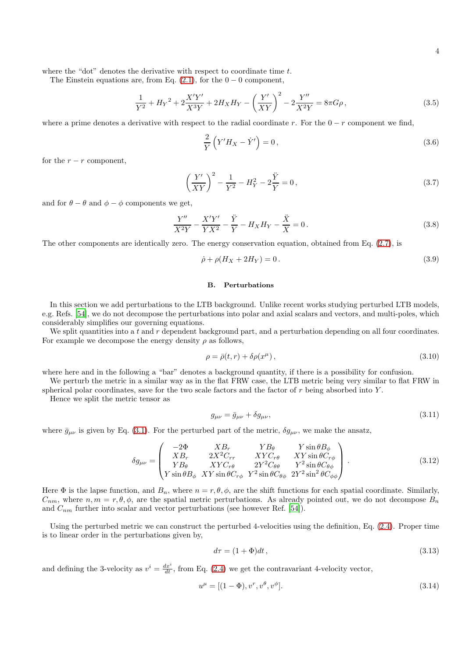where the "dot" denotes the derivative with respect to coordinate time  $t$ .

The Einstein equations are, from Eq.  $(2.1)$ , for the  $0 - 0$  component,

$$
\frac{1}{Y^2} + H_Y^2 + 2\frac{X'Y'}{X^3Y} + 2H_XH_Y - \left(\frac{Y'}{XY}\right)^2 - 2\frac{Y''}{X^2Y} = 8\pi G\rho\,,\tag{3.5}
$$

where a prime denotes a derivative with respect to the radial coordinate r. For the  $0 - r$  component we find,

$$
\frac{2}{Y}\left(Y'H_X-\dot{Y}'\right)=0\,,\tag{3.6}
$$

for the  $r - r$  component,

$$
\left(\frac{Y'}{XY}\right)^2 - \frac{1}{Y^2} - H_Y^2 - 2\frac{\ddot{Y}}{Y} = 0,
$$
\n(3.7)

and for  $\theta - \theta$  and  $\phi - \phi$  components we get,

$$
\frac{Y''}{X^2Y} - \frac{X'Y'}{YX^2} - \frac{\ddot{Y}}{Y} - H_XH_Y - \frac{\ddot{X}}{X} = 0.
$$
\n(3.8)

The other components are identically zero. The energy conservation equation, obtained from Eq. [\(2.7\)](#page-1-3), is

<span id="page-3-2"></span>
$$
\dot{\rho} + \rho (H_X + 2H_Y) = 0.
$$
\n(3.9)

## B. Perturbations

In this section we add perturbations to the LTB background. Unlike recent works studying perturbed LTB models, e.g. Refs. [\[54\]](#page-15-17), we do not decompose the perturbations into polar and axial scalars and vectors, and multi-poles, which considerably simplifies our governing equations.

We split quantities into a t and r dependent background part, and a perturbation depending on all four coordinates. For example we decompose the energy density  $\rho$  as follows,

<span id="page-3-0"></span>
$$
\rho = \bar{\rho}(t, r) + \delta \rho(x^{\mu}), \qquad (3.10)
$$

where here and in the following a "bar" denotes a background quantity, if there is a possibility for confusion.

We perturb the metric in a similar way as in the flat FRW case, the LTB metric being very similar to flat FRW in spherical polar coordinates, save for the two scale factors and the factor of  $r$  being absorbed into  $Y$ .

Hence we split the metric tensor as

$$
g_{\mu\nu} = \bar{g}_{\mu\nu} + \delta g_{\mu\nu},\tag{3.11}
$$

where  $\bar{g}_{\mu\nu}$  is given by Eq. [\(3.1\)](#page-2-2). For the perturbed part of the metric,  $\delta g_{\mu\nu}$ , we make the ansatz,

<span id="page-3-3"></span>
$$
\delta g_{\mu\nu} = \begin{pmatrix}\n-2\Phi & XB_r & YB_\theta & Y\sin\theta B_\phi \\
XB_r & 2X^2C_{rr} & XYC_{r\theta} & XY\sin\theta C_{r\phi} \\
YB_\theta & XYC_{r\theta} & 2Y^2C_{\theta\theta} & Y^2\sin\theta C_{\theta\phi} \\
Y\sin\theta B_\phi & XY\sin\theta C_{r\phi} & Y^2\sin\theta C_{\theta\phi} & 2Y^2\sin^2\theta C_{\phi\phi}\n\end{pmatrix}.
$$
\n(3.12)

Here  $\Phi$  is the lapse function, and  $B_n$ , where  $n = r, \theta, \phi$ , are the shift functions for each spatial coordinate. Similarly,  $C_{nm}$ , where  $n, m = r, \theta, \phi$ , are the spatial metric perturbations. As already pointed out, we do not decompose  $B_n$ and  $C_{nm}$  further into scalar and vector perturbations (see however Ref. [\[54\]](#page-15-17)).

Using the perturbed metric we can construct the perturbed 4-velocities using the definition, Eq. [\(2.4\)](#page-1-1). Proper time is to linear order in the perturbations given by,

$$
d\tau = (1 + \Phi)dt, \tag{3.13}
$$

and defining the 3-velocity as  $v^i = \frac{dx^i}{dt}$ , from Eq. [\(2.4\)](#page-1-1) we get the contravariant 4-velocity vector,

<span id="page-3-1"></span>
$$
u^{\mu} = [(1 - \Phi), v^r, v^{\theta}, v^{\phi}]. \tag{3.14}
$$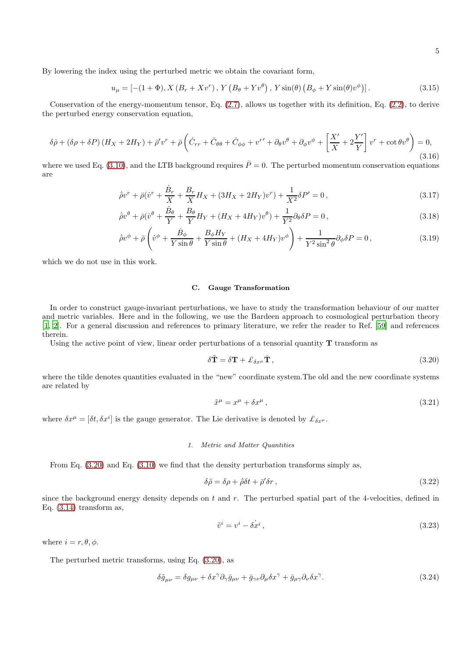By lowering the index using the perturbed metric we obtain the covariant form,

$$
u_{\mu} = \left[ -(1+\Phi), X\left(B_r + Xv^r\right), Y\left(B_{\theta} + Yv^{\theta}\right), Y\sin(\theta)\left(B_{\phi} + Y\sin(\theta)v^{\phi}\right) \right].
$$
\n(3.15)

Conservation of the energy-momentum tensor, Eq. [\(2.7\)](#page-1-3), allows us together with its definition, Eq. [\(2.2\)](#page-1-2), to derive the perturbed energy conservation equation,

<span id="page-4-5"></span>
$$
\delta \dot{\rho} + (\delta \rho + \delta P) (H_X + 2H_Y) + \bar{\rho}' v^r + \bar{\rho} \left( \dot{C}_{rr} + \dot{C}_{\theta\theta} + \dot{C}_{\phi\phi} + v^{r'} + \partial_{\theta} v^{\theta} + \partial_{\phi} v^{\phi} + \left[ \frac{X'}{X} + 2\frac{Y'}{Y} \right] v^r + \cot \theta v^{\theta} \right) = 0,
$$
\n(3.16)

where we used Eq. [\(3.10\)](#page-3-0), and the LTB background requires  $\bar{P}=0$ . The perturbed momentum conservation equations are

$$
\dot{\bar{\rho}}v^r + \bar{\rho}(\dot{v}^r + \frac{\dot{B}_r}{X} + \frac{B_r}{X}H_X + (3H_X + 2H_Y)v^r) + \frac{1}{X^2}\delta P' = 0,
$$
\n(3.17)

$$
\dot{\bar{\rho}}v^{\theta} + \bar{\rho}(\dot{v}^{\theta} + \frac{\dot{B}_{\theta}}{Y} + \frac{B_{\theta}}{Y}H_Y + (H_X + 4H_Y)v^{\theta}) + \frac{1}{Y^2}\partial_{\theta}\delta P = 0, \qquad (3.18)
$$

$$
\dot{\bar{\rho}}v^{\phi} + \bar{\rho}\left(\dot{v}^{\phi} + \frac{\dot{B}_{\phi}}{Y\sin\theta} + \frac{B_{\phi}H_Y}{Y\sin\theta} + (H_X + 4H_Y)v^{\phi}\right) + \frac{1}{Y^2\sin^2\theta}\partial_{\phi}\delta P = 0,
$$
\n(3.19)

which we do not use in this work.

### C. Gauge Transformation

In order to construct gauge-invariant perturbations, we have to study the transformation behaviour of our matter and metric variables. Here and in the following, we use the Bardeen approach to cosmological perturbation theory [\[1,](#page-14-0) [2](#page-14-1)]. For a general discussion and references to primary literature, we refer the reader to Ref. [\[59](#page-15-22)] and references therein.

Using the active point of view, linear order perturbations of a tensorial quantity  $T$  transform as

<span id="page-4-0"></span>
$$
\delta \tilde{\mathbf{T}} = \delta \mathbf{T} + \mathcal{L}_{\delta x^{\mu}} \bar{\mathbf{T}},\tag{3.20}
$$

where the tilde denotes quantities evaluated in the "new" coordinate system. The old and the new coordinate systems are related by

<span id="page-4-2"></span>
$$
\tilde{x}^{\mu} = x^{\mu} + \delta x^{\mu},\tag{3.21}
$$

where  $\delta x^{\mu} = [\delta t, \delta x^{i}]$  is the gauge generator. The Lie derivative is denoted by  $\mathcal{L}_{\delta x^{\mu}}$ .

### 1. Metric and Matter Quantities

From Eq. [\(3.20\)](#page-4-0) and Eq. [\(3.10\)](#page-3-0) we find that the density perturbation transforms simply as,

<span id="page-4-3"></span>
$$
\delta \tilde{\rho} = \delta \rho + \dot{\bar{\rho}} \delta t + \bar{\rho}' \delta r \,, \tag{3.22}
$$

since the background energy density depends on  $t$  and  $r$ . The perturbed spatial part of the 4-velocities, defined in Eq.  $(3.14)$  transform as,

<span id="page-4-4"></span>
$$
\tilde{v}^i = v^i - \delta x^i, \tag{3.23}
$$

where  $i = r, \theta, \phi$ .

The perturbed metric transforms, using Eq. [\(3.20\)](#page-4-0), as

<span id="page-4-1"></span>
$$
\delta \tilde{g}_{\mu\nu} = \delta g_{\mu\nu} + \delta x^{\gamma} \partial_{\gamma} \bar{g}_{\mu\nu} + \bar{g}_{\gamma\nu} \partial_{\mu} \delta x^{\gamma} + \bar{g}_{\mu\gamma} \partial_{\nu} \delta x^{\gamma}.
$$
\n(3.24)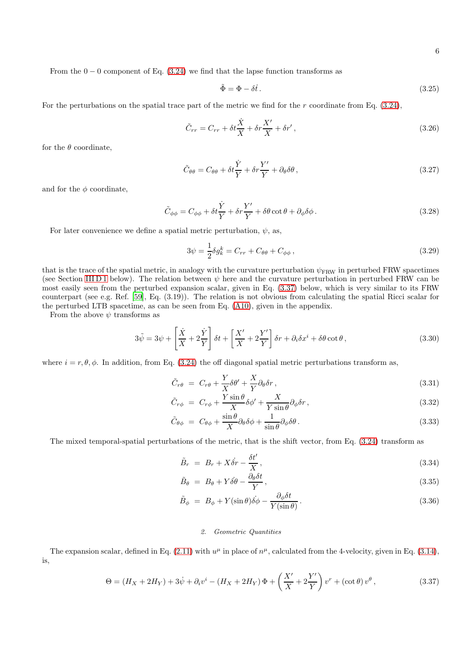From the  $0 - 0$  component of Eq. [\(3.24\)](#page-4-1) we find that the lapse function transforms as

$$
\tilde{\Phi} = \Phi - \delta \dot{t} \,. \tag{3.25}
$$

For the perturbations on the spatial trace part of the metric we find for the  $r$  coordinate from Eq.  $(3.24)$ ,

<span id="page-5-2"></span>
$$
\tilde{C}_{rr} = C_{rr} + \delta t \frac{\dot{X}}{X} + \delta r \frac{X'}{X} + \delta r',
$$
\n(3.26)

for the  $\theta$  coordinate.

$$
\tilde{C}_{\theta\theta} = C_{\theta\theta} + \delta t \frac{\dot{Y}}{Y} + \delta r \frac{Y'}{Y} + \partial_{\theta} \delta \theta, \qquad (3.27)
$$

and for the  $\phi$  coordinate,

<span id="page-5-3"></span>
$$
\tilde{C}_{\phi\phi} = C_{\phi\phi} + \delta t \frac{\dot{Y}}{Y} + \delta r \frac{Y'}{Y} + \delta \theta \cot \theta + \partial_{\phi} \delta \phi.
$$
\n(3.28)

For later convenience we define a spatial metric perturbation,  $\psi$ , as,

<span id="page-5-5"></span>
$$
3\psi = \frac{1}{2}\delta g_k^k = C_{rr} + C_{\theta\theta} + C_{\phi\phi} \,, \tag{3.29}
$$

that is the trace of the spatial metric, in analogy with the curvature perturbation  $\psi_{FRW}$  in perturbed FRW spacetimes (see Section [III D 1](#page-6-0) below). The relation between  $\psi$  here and the curvature perturbation in perturbed FRW can be most easily seen from the perturbed expansion scalar, given in Eq. [\(3.37\)](#page-5-0) below, which is very similar to its FRW counterpart (see e.g. Ref. [\[59\]](#page-15-22), Eq. (3.19)). The relation is not obvious from calculating the spatial Ricci scalar for the perturbed LTB spacetime, as can be seen from Eq. [\(A10\)](#page-12-0), given in the appendix.

From the above  $\psi$  transforms as

<span id="page-5-1"></span>
$$
3\tilde{\psi} = 3\psi + \left[\frac{\dot{X}}{X} + 2\frac{\dot{Y}}{Y}\right]\delta t + \left[\frac{X'}{X} + 2\frac{Y'}{Y}\right]\delta r + \partial_i\delta x^i + \delta\theta\cot\theta, \tag{3.30}
$$

where  $i = r, \theta, \phi$ . In addition, from Eq. [\(3.24\)](#page-4-1) the off diagonal spatial metric perturbations transform as,

<span id="page-5-4"></span>
$$
\tilde{C}_{r\theta} = C_{r\theta} + \frac{Y}{X}\delta\theta' + \frac{X}{Y}\partial_{\theta}\delta r, \qquad (3.31)
$$

$$
\tilde{C}_{r\phi} = C_{r\phi} + \frac{Y\sin\theta}{X}\delta\phi' + \frac{X}{Y\sin\theta}\partial_{\phi}\delta r, \qquad (3.32)
$$

$$
\tilde{C}_{\theta\phi} = C_{\theta\phi} + \frac{\sin\theta}{X} \partial_{\theta}\delta\phi + \frac{1}{\sin\theta} \partial_{\phi}\delta\theta.
$$
\n(3.33)

The mixed temporal-spatial perturbations of the metric, that is the shift vector, from Eq. [\(3.24\)](#page-4-1) transform as

$$
\tilde{B}_r = B_r + X\dot{\delta r} - \frac{\delta t'}{X},\tag{3.34}
$$

$$
\tilde{B}_{\theta} = B_{\theta} + Y \dot{\delta \theta} - \frac{\partial_{\theta} \delta t}{Y}, \qquad (3.35)
$$

$$
\tilde{B}_{\phi} = B_{\phi} + Y(\sin \theta)\dot{\delta\phi} - \frac{\partial_{\phi}\delta t}{Y(\sin \theta)}.
$$
\n(3.36)

### 2. Geometric Quantities

The expansion scalar, defined in Eq.  $(2.11)$  with  $u^{\mu}$  in place of  $n^{\mu}$ , calculated from the 4-velocity, given in Eq.  $(3.14)$ , is,

<span id="page-5-0"></span>
$$
\Theta = (H_X + 2H_Y) + 3\dot{\psi} + \partial_i v^i - (H_X + 2H_Y)\Phi + \left(\frac{X'}{X} + 2\frac{Y'}{Y}\right)v^r + (\cot\theta)v^\theta,
$$
\n(3.37)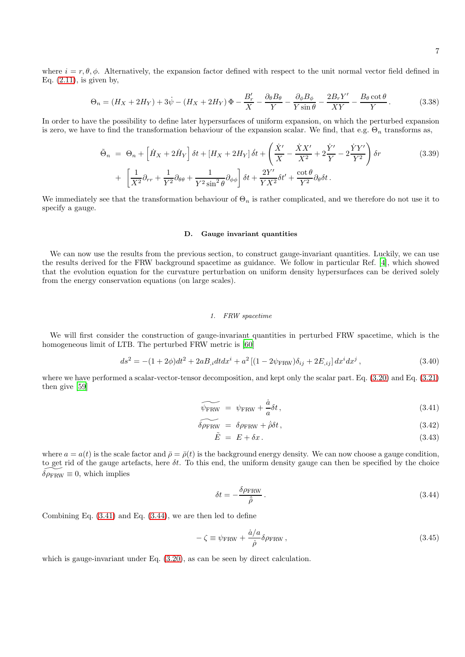where  $i = r, \theta, \phi$ . Alternatively, the expansion factor defined with respect to the unit normal vector field defined in Eq.  $(2.11)$ , is given by,

$$
\Theta_n = (H_X + 2H_Y) + 3\dot{\psi} - (H_X + 2H_Y)\Phi - \frac{B'_r}{X} - \frac{\partial_\theta B_\theta}{Y} - \frac{\partial_\phi B_\phi}{Y \sin \theta} - \frac{2B_r Y'}{XY} - \frac{B_\theta \cot \theta}{Y}.
$$
 (3.38)

In order to have the possibility to define later hypersurfaces of uniform expansion, on which the perturbed expansion is zero, we have to find the transformation behaviour of the expansion scalar. We find, that e.g.  $\Theta_n$  transforms as,

$$
\tilde{\Theta}_n = \Theta_n + \left[ \dot{H}_X + 2\dot{H}_Y \right] \delta t + \left[ H_X + 2H_Y \right] \dot{\delta} t + \left( \frac{\dot{X}'}{X} - \frac{\dot{X}X'}{X^2} + 2\frac{\dot{Y}'}{Y} - 2\frac{\dot{Y}Y'}{Y^2} \right) \delta r
$$
\n
$$
+ \left[ \frac{1}{X^2} \partial_{rr} + \frac{1}{Y^2} \partial_{\theta\theta} + \frac{1}{Y^2 \sin^2 \theta} \partial_{\phi\phi} \right] \delta t + \frac{2Y'}{YX^2} \delta t' + \frac{\cot \theta}{Y^2} \partial_{\theta} \delta t.
$$
\n(3.39)

We immediately see that the transformation behaviour of  $\Theta_n$  is rather complicated, and we therefore do not use it to specify a gauge.

### D. Gauge invariant quantities

We can now use the results from the previous section, to construct gauge-invariant quantities. Luckily, we can use the results derived for the FRW background spacetime as guidance. We follow in particular Ref. [\[4\]](#page-14-3), which showed that the evolution equation for the curvature perturbation on uniform density hypersurfaces can be derived solely from the energy conservation equations (on large scales).

### <span id="page-6-0"></span>1. FRW spacetime

We will first consider the construction of gauge-invariant quantities in perturbed FRW spacetime, which is the homogeneous limit of LTB. The perturbed FRW metric is [\[60\]](#page-15-23)

<span id="page-6-3"></span>
$$
ds^{2} = -(1+2\phi)dt^{2} + 2aB_{,i}dtdx^{i} + a^{2}[(1-2\psi_{FRW})\delta_{ij} + 2E_{,ij}]dx^{i}dx^{j},
$$
\n(3.40)

where we have performed a scalar-vector-tensor decomposition, and kept only the scalar part. Eq. [\(3.20\)](#page-4-0) and Eq. [\(3.21\)](#page-4-2) then give [\[59\]](#page-15-22)

<span id="page-6-1"></span>
$$
\widetilde{\psi_{\text{FRW}}} = \psi_{\text{FRW}} + \frac{\dot{a}}{a} \delta t, \qquad (3.41)
$$

$$
\widetilde{\delta \rho_{\text{FRW}}} = \delta \rho_{\text{FRW}} + \dot{\rho} \delta t, \qquad (3.42)
$$

$$
\tilde{E} = E + \delta x. \tag{3.43}
$$

where  $a = a(t)$  is the scale factor and  $\bar{\rho} = \bar{\rho}(t)$  is the background energy density. We can now choose a gauge condition, to get rid of the gauge artefacts, here  $\delta t$ . To this end, the uniform density gauge can then be specified by the choice  $\delta \rho_{\rm FRW} \equiv 0$ , which implies

<span id="page-6-2"></span>
$$
\delta t = -\frac{\delta \rho_{\text{FRW}}}{\dot{\rho}} \,. \tag{3.44}
$$

Combining Eq. [\(3.41\)](#page-6-1) and Eq. [\(3.44\)](#page-6-2), we are then led to define

$$
-\zeta \equiv \psi_{\text{FRW}} + \frac{\dot{a}/a}{\dot{\rho}} \delta \rho_{\text{FRW}} , \qquad (3.45)
$$

which is gauge-invariant under Eq.  $(3.20)$ , as can be seen by direct calculation.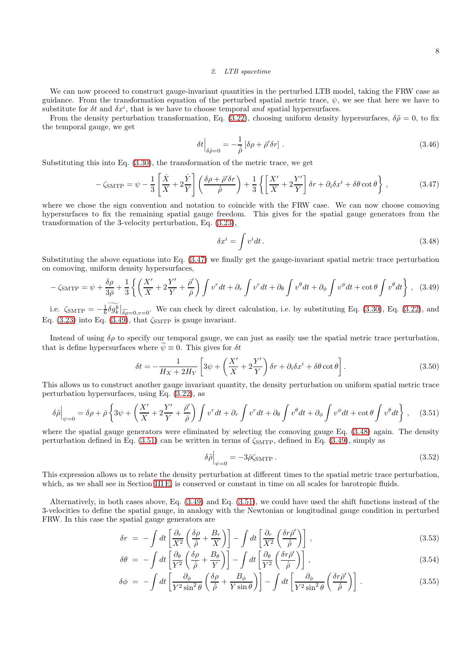#### <span id="page-7-0"></span>2. LTB spacetime

We can now proceed to construct gauge-invariant quantities in the perturbed LTB model, taking the FRW case as guidance. From the transformation equation of the perturbed spatial metric trace,  $\psi$ , we see that here we have to substitute for  $\delta t$  and  $\delta x^i$ , that is we have to choose temporal and spatial hypersurfaces.

From the density perturbation transformation, Eq. [\(3.22\)](#page-4-3), choosing uniform density hypersurfaces,  $\delta \tilde{\rho} = 0$ , to fix the temporal gauge, we get

$$
\delta t \Big|_{\delta \tilde{\rho}=0} = -\frac{1}{\dot{\rho}} \left[ \delta \rho + \bar{\rho}' \delta r \right]. \tag{3.46}
$$

Substituting this into Eq. [\(3.30\)](#page-5-1), the transformation of the metric trace, we get

<span id="page-7-1"></span>
$$
-\zeta_{\text{SMTP}} = \psi - \frac{1}{3} \left[ \frac{\dot{X}}{X} + 2\frac{\dot{Y}}{Y} \right] \left( \frac{\delta \rho + \bar{\rho}' \delta r}{\dot{\rho}} \right) + \frac{1}{3} \left\{ \left[ \frac{X'}{X} + 2\frac{Y'}{Y} \right] \delta r + \partial_i \delta x^i + \delta \theta \cot \theta \right\},\tag{3.47}
$$

where we chose the sign convention and notation to coincide with the FRW case. We can now choose comoving hypersurfaces to fix the remaining spatial gauge freedom. This gives for the spatial gauge generators from the transformation of the 3-velocity perturbation, Eq. [\(3.23\)](#page-4-4),

<span id="page-7-3"></span>
$$
\delta x^i = \int v^i dt \,. \tag{3.48}
$$

Substituting the above equations into Eq. [\(3.47\)](#page-7-1) we finally get the gauge-invariant spatial metric trace perturbation on comoving, uniform density hypersurfaces,

<span id="page-7-2"></span>
$$
-\zeta_{\text{SMTP}} = \psi + \frac{\delta \rho}{3\bar{\rho}} + \frac{1}{3} \left\{ \left( \frac{X'}{X} + 2\frac{Y'}{Y} + \frac{\bar{\rho}'}{\bar{\rho}} \right) \int v^r dt + \partial_r \int v^r dt + \partial_\theta \int v^\theta dt + \partial_\phi \int v^\phi dt + \cot \theta \int v^\theta dt \right\}, \quad (3.49)
$$

i.e.  $\zeta_{\text{SMTP}} = -\frac{1}{6} \delta g_k^{\overline{k}}|_{\widetilde{\delta\rho}=0, v=0}$ . We can check by direct calculation, i.e. by substituting Eq. [\(3.30\)](#page-5-1), Eq. [\(3.22\)](#page-4-3), and Eq.  $(3.23)$  into Eq.  $(3.49)$ , that  $\zeta_{\text{SMTP}}$  is gauge invariant.

Instead of using  $\delta \rho$  to specify our temporal gauge, we can just as easily use the spatial metric trace perturbation, that is define hypersurfaces where  $\psi \equiv 0$ . This gives for  $\delta t$ 

$$
\delta t = -\frac{1}{H_X + 2H_Y} \left[ 3\psi + \left( \frac{X'}{X} + 2\frac{Y'}{Y} \right) \delta r + \partial_i \delta x^i + \delta \theta \cot \theta \right]. \tag{3.50}
$$

This allows us to construct another gauge invariant quantity, the density perturbation on uniform spatial metric trace perturbation hypersurfaces, using Eq. [\(3.22\)](#page-4-3), as

<span id="page-7-4"></span>
$$
\delta\tilde{\rho}\Big|_{\psi=0} = \delta\rho + \bar{\rho}\left\{3\psi + \left(\frac{X'}{X} + 2\frac{Y'}{Y} + \frac{\bar{\rho}'}{\bar{\rho}}\right)\int v^r dt + \partial_r \int v^r dt + \partial_\theta \int v^\theta dt + \partial_\phi \int v^\phi dt + \cot\theta \int v^\theta dt\right\},\tag{3.51}
$$

where the spatial gauge generators were eliminated by selecting the comoving gauge Eq.  $(3.48)$  again. The density perturbation defined in Eq. [\(3.51\)](#page-7-4) can be written in terms of  $\zeta_{\text{SMTP}}$ , defined in Eq. [\(3.49\)](#page-7-2), simply as

<span id="page-7-5"></span>
$$
\delta\tilde{\rho}\Big|_{\psi=0} = -3\bar{\rho}\zeta_{\text{SMTP}}\,. \tag{3.52}
$$

This expression allows us to relate the density perturbation at different times to the spatial metric trace perturbation, which, as we shall see in Section [III E,](#page-8-0) is conserved or constant in time on all scales for barotropic fluids.

Alternatively, in both cases above, Eq. [\(3.49\)](#page-7-2) and Eq. [\(3.51\)](#page-7-4), we could have used the shift functions instead of the 3-velocities to define the spatial gauge, in analogy with the Newtonian or longitudinal gauge condition in perturbed FRW. In this case the spatial gauge generators are

$$
\delta r = -\int dt \left[ \frac{\partial_r}{X^2} \left( \frac{\delta \rho}{\dot{\rho}} + \frac{B_r}{X} \right) \right] - \int dt \left[ \frac{\partial_r}{X^2} \left( \frac{\delta r \dot{\rho}'}{\dot{\rho}} \right) \right], \tag{3.53}
$$

$$
\delta\theta = -\int dt \left[ \frac{\partial_{\theta}}{Y^2} \left( \frac{\delta\rho}{\dot{\rho}} + \frac{B_{\theta}}{Y} \right) \right] - \int dt \left[ \frac{\partial_{\theta}}{Y^2} \left( \frac{\delta r \bar{\rho}'}{\dot{\rho}} \right) \right], \tag{3.54}
$$

$$
\delta\phi = -\int dt \left[ \frac{\partial_{\phi}}{Y^2 \sin^2 \theta} \left( \frac{\delta \rho}{\dot{\rho}} + \frac{B_{\phi}}{Y \sin \theta} \right) \right] - \int dt \left[ \frac{\partial_{\phi}}{Y^2 \sin^2 \theta} \left( \frac{\delta r \bar{\rho}'}{\dot{\rho}} \right) \right].
$$
 (3.55)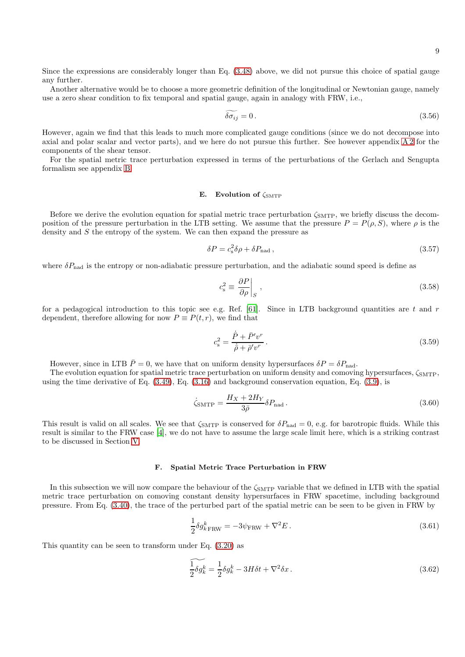Since the expressions are considerably longer than Eq. [\(3.48\)](#page-7-3) above, we did not pursue this choice of spatial gauge any further.

Another alternative would be to choose a more geometric definition of the longitudinal or Newtonian gauge, namely use a zero shear condition to fix temporal and spatial gauge, again in analogy with FRW, i.e.,

$$
\widetilde{\delta \sigma_{ij}} = 0. \tag{3.56}
$$

However, again we find that this leads to much more complicated gauge conditions (since we do not decompose into axial and polar scalar and vector parts), and we here do not pursue this further. See however appendix [A 2](#page-11-1) for the components of the shear tensor.

For the spatial metric trace perturbation expressed in terms of the perturbations of the Gerlach and Sengupta formalism see appendix [B.](#page-12-1)

## <span id="page-8-0"></span>E. Evolution of  $\zeta_{\text{SMTP}}$

Before we derive the evolution equation for spatial metric trace perturbation  $\zeta_{\rm SMTP}$ , we briefly discuss the decomposition of the pressure perturbation in the LTB setting. We assume that the pressure  $P = P(\rho, S)$ , where  $\rho$  is the density and S the entropy of the system. We can then expand the pressure as

<span id="page-8-3"></span>
$$
\delta P = c_s^2 \delta \rho + \delta P_{\text{nad}} \,,\tag{3.57}
$$

where  $\delta P_{\text{nad}}$  is the entropy or non-adiabatic pressure perturbation, and the adiabatic sound speed is define as

$$
c_{\rm s}^2 \equiv \left. \frac{\partial P}{\partial \rho} \right|_{S} \,, \tag{3.58}
$$

for a pedagogical introduction to this topic see e.g. Ref. [\[61\]](#page-15-24). Since in LTB background quantities are t and r dependent, therefore allowing for now  $P \equiv P(t,r)$ , we find that

<span id="page-8-4"></span>
$$
c_{\rm s}^2 = \frac{\dot{\bar{P}} + \bar{P}'v^r}{\dot{\bar{\rho}} + \bar{\rho}'v^r} \,. \tag{3.59}
$$

However, since in LTB  $\bar{P}=0$ , we have that on uniform density hypersurfaces  $\delta P = \delta P_{\text{nad}}$ .

The evolution equation for spatial metric trace perturbation on uniform density and comoving hypersurfaces,  $\zeta_{\text{SMTP}}$ , using the time derivative of Eq. [\(3.49\)](#page-7-2), Eq. [\(3.16\)](#page-4-5) and background conservation equation, Eq. [\(3.9\)](#page-3-2), is

<span id="page-8-2"></span>
$$
\dot{\zeta}_{\text{SMTP}} = \frac{H_X + 2H_Y}{3\bar{\rho}} \delta P_{\text{nad}} \,. \tag{3.60}
$$

This result is valid on all scales. We see that  $\zeta_{\text{SMTP}}$  is conserved for  $\delta P_{\text{nad}} = 0$ , e.g. for barotropic fluids. While this result is similar to the FRW case [\[4\]](#page-14-3), we do not have to assume the large scale limit here, which is a striking contrast to be discussed in Section [V.](#page-11-0)

#### F. Spatial Metric Trace Perturbation in FRW

In this subsection we will now compare the behaviour of the  $\zeta_{\rm SMTP}$  variable that we defined in LTB with the spatial metric trace perturbation on comoving constant density hypersurfaces in FRW spacetime, including background pressure. From Eq. [\(3.40\)](#page-6-3), the trace of the perturbed part of the spatial metric can be seen to be given in FRW by

<span id="page-8-1"></span>
$$
\frac{1}{2}\delta g_{k\text{FRW}}^k = -3\psi_{\text{FRW}} + \nabla^2 E\,. \tag{3.61}
$$

This quantity can be seen to transform under Eq. [\(3.20\)](#page-4-0) as

$$
\widetilde{\frac{1}{2}\delta g_k^k} = \frac{1}{2}\delta g_k^k - 3H\delta t + \nabla^2 \delta x \,. \tag{3.62}
$$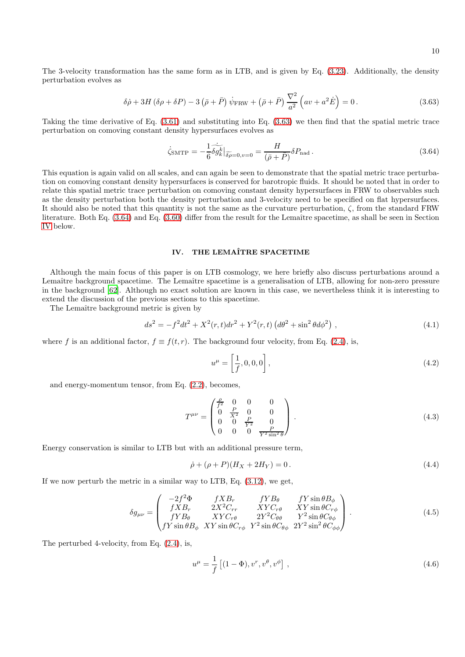The 3-velocity transformation has the same form as in LTB, and is given by Eq. [\(3.23\)](#page-4-4). Additionally, the density perturbation evolves as

<span id="page-9-1"></span>
$$
\delta \dot{\rho} + 3H \left( \delta \rho + \delta P \right) - 3 \left( \bar{\rho} + \bar{P} \right) \dot{\psi}_{\text{FRW}} + \left( \bar{\rho} + \bar{P} \right) \frac{\nabla^2}{a^2} \left( av + a^2 \dot{E} \right) = 0. \tag{3.63}
$$

Taking the time derivative of Eq. [\(3.61\)](#page-8-1) and substituting into Eq. [\(3.63\)](#page-9-1) we then find that the spatial metric trace perturbation on comoving constant density hypersurfaces evolves as

<span id="page-9-2"></span>
$$
\dot{\zeta}_{\text{SMTP}} = -\frac{1}{6} \widetilde{\delta g_k^k} \big|_{\widetilde{\delta \rho} = 0, v = 0} = \frac{H}{(\bar{\rho} + \bar{P})} \delta P_{\text{nad}} \,. \tag{3.64}
$$

This equation is again valid on all scales, and can again be seen to demonstrate that the spatial metric trace perturbation on comoving constant density hypersurfaces is conserved for barotropic fluids. It should be noted that in order to relate this spatial metric trace perturbation on comoving constant density hypersurfaces in FRW to observables such as the density perturbation both the density perturbation and 3-velocity need to be specified on flat hypersurfaces. It should also be noted that this quantity is not the same as the curvature perturbation,  $\zeta$ , from the standard FRW literature. Both Eq. [\(3.64\)](#page-9-2) and Eq. [\(3.60\)](#page-8-2) differ from the result for the Lemaître spacetime, as shall be seen in Section [IV](#page-9-0) below.

# <span id="page-9-0"></span>IV. THE LEMAÎTRE SPACETIME

Although the main focus of this paper is on LTB cosmology, we here briefly also discuss perturbations around a Lemaître background spacetime. The Lemaître spacetime is a generalisation of LTB, allowing for non-zero pressure in the background [\[62\]](#page-15-25). Although no exact solution are known in this case, we nevertheless think it is interesting to extend the discussion of the previous sections to this spacetime.

The Lemaître background metric is given by

$$
ds^{2} = -f^{2}dt^{2} + X^{2}(r,t)dr^{2} + Y^{2}(r,t)\left(d\theta^{2} + \sin^{2}\theta d\phi^{2}\right),
$$
\n(4.1)

where f is an additional factor,  $f \equiv f(t, r)$ . The background four velocity, from Eq. [\(2.4\)](#page-1-1), is,

$$
u^{\mu} = \left[\frac{1}{f}, 0, 0, 0\right],\tag{4.2}
$$

and energy-momentum tensor, from Eq. [\(2.2\)](#page-1-2), becomes,

$$
T^{\mu\nu} = \begin{pmatrix} \frac{\rho}{f^2} & 0 & 0 & 0\\ 0 & \frac{P}{X^2} & 0 & 0\\ 0 & 0 & \frac{P}{Y^2} & 0\\ 0 & 0 & 0 & \frac{P}{Y^2\sin^2\theta} \end{pmatrix} .
$$
 (4.3)

Energy conservation is similar to LTB but with an additional pressure term,

$$
\dot{\rho} + (\rho + P)(H_X + 2H_Y) = 0.
$$
\n(4.4)

If we now perturb the metric in a similar way to LTB, Eq. [\(3.12\)](#page-3-3), we get,

$$
\delta g_{\mu\nu} = \begin{pmatrix}\n-2f^2 \Phi & fXB_r & fYB_\theta & fY\sin\theta B_\phi \\
fXB_r & 2X^2C_{rr} & XYZ_\theta & XY\sin\theta C_{r\phi} \\
fYB_\theta & XYZ_\theta & 2Y^2C_{\theta\theta} & Y^2\sin\theta C_{\theta\phi} \\
fY\sin\theta B_\phi & XY\sin\theta C_{r\phi} & Y^2\sin\theta C_{\theta\phi} & 2Y^2\sin^2\theta C_{\phi\phi}\n\end{pmatrix} .
$$
\n(4.5)

The perturbed 4-velocity, from Eq.  $(2.4)$ , is,

$$
u^{\mu} = \frac{1}{f} \left[ (1 - \Phi), v^r, v^{\theta}, v^{\phi} \right],
$$
\n(4.6)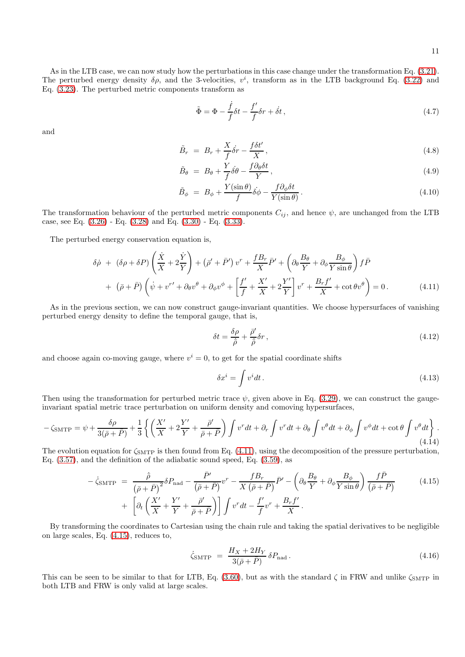As in the LTB case, we can now study how the perturbations in this case change under the transformation Eq. [\(3.21\)](#page-4-2). The perturbed energy density  $\delta \rho$ , and the 3-velocities,  $v^i$ , transform as in the LTB background Eq. [\(3.22\)](#page-4-3) and Eq. [\(3.23\)](#page-4-4). The perturbed metric components transform as

$$
\tilde{\Phi} = \Phi - \frac{\dot{f}}{f} \delta t - \frac{f'}{f} \delta r + \dot{\delta} t, \qquad (4.7)
$$

and

$$
\tilde{B}_r = B_r + \frac{X}{f} \dot{\delta}r - \frac{f \delta t'}{X},\tag{4.8}
$$

$$
\tilde{B}_{\theta} = B_{\theta} + \frac{Y}{f} \dot{\delta\theta} - \frac{f \partial_{\theta} \delta t}{Y},\tag{4.9}
$$

$$
\tilde{B}_{\phi} = B_{\phi} + \frac{Y(\sin \theta)}{f} \dot{\delta \phi} - \frac{f \partial_{\phi} \delta t}{Y(\sin \theta)}.
$$
\n(4.10)

The transformation behaviour of the perturbed metric components  $C_{ij}$ , and hence  $\psi$ , are unchanged from the LTB case, see Eq. [\(3.26\)](#page-5-2) - Eq. [\(3.28\)](#page-5-3) and Eq. [\(3.30\)](#page-5-1) - Eq. [\(3.33\)](#page-5-4).

The perturbed energy conservation equation is,

<span id="page-10-0"></span>
$$
\delta \dot{\rho} + (\delta \rho + \delta P) \left( \frac{\dot{X}}{X} + 2 \frac{\dot{Y}}{Y} \right) + (\bar{\rho}' + \bar{P}') v^r + \frac{f B_r}{X} \bar{P}' + \left( \partial_{\theta} \frac{B_{\theta}}{Y} + \partial_{\phi} \frac{B_{\phi}}{Y \sin \theta} \right) f \bar{P} + (\bar{\rho} + \bar{P}) \left( \dot{\psi} + v^{r'} + \partial_{\theta} v^{\theta} + \partial_{\phi} v^{\phi} + \left[ \frac{f'}{f} + \frac{X'}{X} + 2 \frac{Y'}{Y} \right] v^r + \frac{B_r f'}{X} + \cot \theta v^{\theta} \right) = 0.
$$
 (4.11)

As in the previous section, we can now construct gauge-invariant quantities. We choose hypersurfaces of vanishing perturbed energy density to define the temporal gauge, that is,

$$
\delta t = \frac{\delta \rho}{\dot{\bar{\rho}}} + \frac{\bar{\rho}'}{\dot{\bar{\rho}}} \delta r \,,\tag{4.12}
$$

and choose again co-moving gauge, where  $v^i = 0$ , to get for the spatial coordinate shifts

$$
\delta x^i = \int v^i dt \,. \tag{4.13}
$$

Then using the transformation for perturbed metric trace  $\psi$ , given above in Eq. [\(3.29\)](#page-5-5), we can construct the gaugeinvariant spatial metric trace perturbation on uniform density and comoving hypersurfaces,

$$
-\zeta_{\text{SMTP}} = \psi + \frac{\delta\rho}{3(\bar{\rho} + \bar{P})} + \frac{1}{3} \left\{ \left( \frac{X'}{X} + 2\frac{Y'}{Y} + \frac{\bar{\rho}'}{\bar{\rho} + \bar{P}} \right) \int v^r dt + \partial_r \int v^r dt + \partial_\theta \int v^\theta dt + \partial_\phi \int v^\phi dt + \cot\theta \int v^\theta dt \right\}.
$$
\n(4.14)

The evolution equation for  $\zeta_{\text{MTP}}$  is then found from Eq. [\(4.11\)](#page-10-0), using the decomposition of the pressure perturbation, Eq. [\(3.57\)](#page-8-3), and the definition of the adiabatic sound speed, Eq. [\(3.59\)](#page-8-4), as

<span id="page-10-1"></span>
$$
-\dot{\zeta}_{\text{SMTP}} = \frac{\dot{\bar{\rho}}}{\left(\bar{\rho} + \bar{P}\right)^2} \delta P_{\text{nad}} - \frac{\bar{P}'}{\left(\bar{\rho} + \bar{P}\right)} v^r - \frac{f B_r}{X \left(\bar{\rho} + \bar{P}\right)} \bar{P}' - \left(\partial_\theta \frac{B_\theta}{Y} + \partial_\phi \frac{B_\phi}{Y \sin \theta}\right) \frac{f \bar{P}}{\left(\bar{\rho} + \bar{P}\right)} + \left[\partial_t \left(\frac{X'}{X} + \frac{Y'}{Y} + \frac{\bar{\rho}'}{\bar{\rho} + \bar{P}}\right)\right] \int v^r dt - \frac{f'}{f} v^r + \frac{B_r f'}{X}.
$$
\n(4.15)

By transforming the coordinates to Cartesian using the chain rule and taking the spatial derivatives to be negligible on large scales, Eq. [\(4.15\)](#page-10-1), reduces to,

$$
\dot{\zeta}_{\text{SMTP}} = \frac{H_X + 2H_Y}{3(\bar{\rho} + \bar{P})} \delta P_{\text{nad}}.
$$
\n(4.16)

This can be seen to be similar to that for LTB, Eq. [\(3.60\)](#page-8-2), but as with the standard  $\zeta$  in FRW and unlike  $\zeta_{\text{SMTP}}$  in both LTB and FRW is only valid at large scales.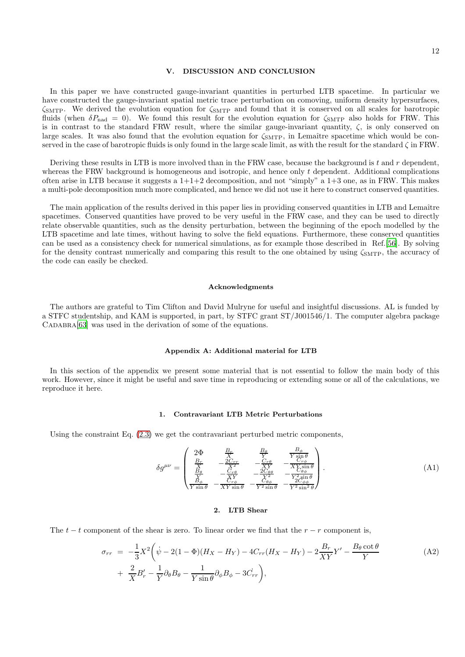## <span id="page-11-0"></span>V. DISCUSSION AND CONCLUSION

In this paper we have constructed gauge-invariant quantities in perturbed LTB spacetime. In particular we have constructed the gauge-invariant spatial metric trace perturbation on comoving, uniform density hypersurfaces,  $\zeta_{\text{SMTP}}$ . We derived the evolution equation for  $\zeta_{\text{SMTP}}$  and found that it is conserved on all scales for barotropic fluids (when  $\delta P_{\text{nad}} = 0$ ). We found this result for the evolution equation for  $\zeta_{\text{SMTP}}$  also holds for FRW. This is in contrast to the standard FRW result, where the similar gauge-invariant quantity,  $\zeta$ , is only conserved on large scales. It was also found that the evolution equation for  $\zeta_{SMTP}$ , in Lemaître spacetime which would be conserved in the case of barotropic fluids is only found in the large scale limit, as with the result for the standard  $\zeta$  in FRW.

Deriving these results in LTB is more involved than in the FRW case, because the background is t and  $r$  dependent, whereas the FRW background is homogeneous and isotropic, and hence only t dependent. Additional complications often arise in LTB because it suggests a  $1+1+2$  decomposition, and not "simply" a  $1+3$  one, as in FRW. This makes a multi-pole decomposition much more complicated, and hence we did not use it here to construct conserved quantities.

The main application of the results derived in this paper lies in providing conserved quantities in LTB and Lemaître spacetimes. Conserved quantities have proved to be very useful in the FRW case, and they can be used to directly relate observable quantities, such as the density perturbation, between the beginning of the epoch modelled by the LTB spacetime and late times, without having to solve the field equations. Furthermore, these conserved quantities can be used as a consistency check for numerical simulations, as for example those described in Ref.[\[56](#page-15-19)]. By solving for the density contrast numerically and comparing this result to the one obtained by using  $\zeta_{\text{SMTP}}$ , the accuracy of the code can easily be checked.

### Acknowledgments

The authors are grateful to Tim Clifton and David Mulryne for useful and insightful discussions. AL is funded by a STFC studentship, and KAM is supported, in part, by STFC grant ST/J001546/1. The computer algebra package CADABRA<sup>[\[63\]](#page-15-26)</sup> was used in the derivation of some of the equations.

#### Appendix A: Additional material for LTB

In this section of the appendix we present some material that is not essential to follow the main body of this work. However, since it might be useful and save time in reproducing or extending some or all of the calculations, we reproduce it here.

## 1. Contravariant LTB Metric Perturbations

Using the constraint Eq. [\(2.3\)](#page-1-4) we get the contravariant perturbed metric components,

$$
\delta g^{\mu\nu} = \begin{pmatrix}\n2\Phi & \frac{B_r}{X} & \frac{B_\theta}{Y} & \frac{B_\phi}{Y\sin\theta} \\
\frac{B_r}{X} & -\frac{2C_{rr}}{X^2} & -\frac{C_{r\theta}}{XY} & -\frac{X_{Ts\sin}\theta}{XY\sin\theta} \\
\frac{B_\theta}{X} & -\frac{C_{r\theta}}{X^2} & -\frac{2C_{\theta\theta}}{X^2} & -\frac{C_{\theta\phi}}{Y\sin\theta} \\
\frac{B_\phi}{Y\sin\theta} & -\frac{X_{Ts\sin}\theta}{XY\sin\theta} & -\frac{C_{\theta\phi}}{Y^2\sin\theta} & -\frac{2C_{\phi\phi}}{Y^2\sin^2\theta}\n\end{pmatrix}.
$$
\n(A1)

# <span id="page-11-1"></span>2. LTB Shear

The  $t - t$  component of the shear is zero. To linear order we find that the  $r - r$  component is,

$$
\sigma_{rr} = -\frac{1}{3}X^2 \left( \dot{\psi} - 2(1 - \Phi)(H_X - H_Y) - 4C_{rr}(H_X - H_Y) - 2\frac{B_r}{XY}Y' - \frac{B_\theta \cot \theta}{Y} + \frac{2}{X}B'_r - \frac{1}{Y}\partial_\theta B_\theta - \frac{1}{Y \sin \theta}\partial_\phi B_\phi - 3C_{rr} \right),
$$
\n(A2)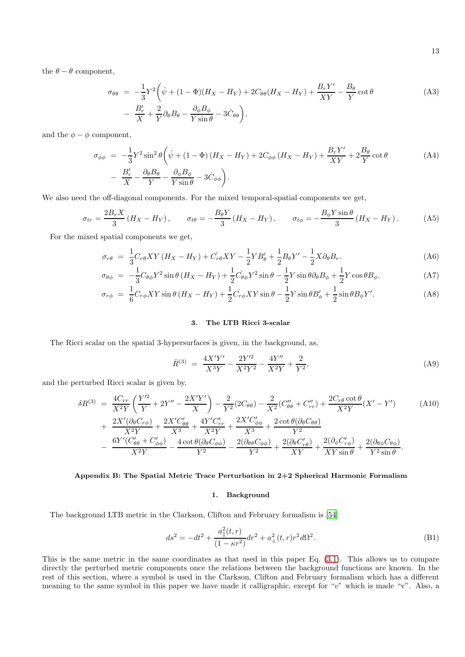the  $\theta - \theta$  component,

$$
\sigma_{\theta\theta} = -\frac{1}{3}Y^2 \left( \dot{\psi} + (1 - \Phi)(H_X - H_Y) + 2C_{\theta\theta}(H_X - H_Y) + \frac{B_r Y'}{XY} - \frac{B_\theta}{Y} \cot \theta \right)
$$
\n
$$
- \frac{B'_r}{X} + \frac{2}{Y} \partial_\theta B_\theta - \frac{\partial_\phi B_\phi}{Y \sin \theta} - 3\dot{C}_{\theta\theta} \right),
$$
\n(A3)

and the  $\phi - \phi$  component,

$$
\sigma_{\phi\phi} = -\frac{1}{3}Y^2 \sin^2\theta \left( \dot{\psi} + (1 - \Phi)(H_X - H_Y) + 2C_{\phi\phi} (H_X - H_Y) + \frac{B_r Y'}{XY} + 2\frac{B_\theta}{Y} \cot\theta \right) \n- \frac{B'_r}{X} - \frac{\partial_\theta B_\theta}{Y} - \frac{\partial_\phi B_\phi}{Y \sin\theta} - 3\dot{C}_{\phi\phi}.
$$
\n(A4)

We also need the off-diagonal components. For the mixed temporal-spatial components we get,

$$
\sigma_{tr} = \frac{2B_r X}{3} \left( H_X - H_Y \right), \qquad \sigma_{t\theta} = -\frac{B_\theta Y}{3} \left( H_X - H_Y \right), \qquad \sigma_{t\phi} = -\frac{B_\phi Y \sin \theta}{3} \left( H_X - H_Y \right). \tag{A5}
$$

For the mixed spatial components we get,

$$
\sigma_{r\theta} = \frac{1}{3} C_{r\theta} XY (H_X - H_Y) + C_{r\theta} XY - \frac{1}{2} Y B'_{\theta} + \frac{1}{2} B_{\theta} Y' - \frac{1}{2} X \partial_{\theta} B_r.
$$
\n(A6)

$$
\sigma_{\theta\phi} = -\frac{1}{3}C_{\theta\phi}Y^2\sin\theta\left(H_X - H_Y\right) + \frac{1}{2}C_{\theta\phi}Y^2\sin\theta - \frac{1}{2}Y\sin\theta\partial_\theta B_\phi + \frac{1}{2}Y\cos\theta B_\phi. \tag{A7}
$$

$$
\sigma_{r\phi} = \frac{1}{6} C_{r\phi} XY \sin \theta \left( H_X - H_Y \right) + \frac{1}{2} C_{r\phi} XY \sin \theta - \frac{1}{2} Y \sin \theta B_{\phi}' + \frac{1}{2} \sin \theta B_{\phi} Y'.
$$
 (A8)

# 3. The LTB Ricci 3-scalar

The Ricci scalar on the spatial 3-hypersurfaces is given, in the background, as,

$$
\bar{R}^{(3)} = \frac{4X'Y'}{X^3Y} - \frac{2Y'^2}{X^2Y^2} - \frac{4Y''}{X^2Y} + \frac{2}{Y^2},\tag{A9}
$$

and the perturbed Ricci scalar is given by,

<span id="page-12-0"></span>
$$
\delta R^{(3)} = \frac{4C_{rr}}{X^2Y} \left( \frac{Y'^2}{Y} + 2Y'' - \frac{2X'Y'}{X} \right) - \frac{2}{Y^2} (2C_{\theta\theta}) - \frac{2}{X^2} (C''_{\theta\theta} + C''_{rr}) + \frac{2C_{r\theta} \cot \theta}{X^2Y} (X' - Y') \tag{A10}
$$
\n
$$
+ \frac{2X'(\partial_{\theta}C_{r\phi})}{X^2Y} + \frac{2X'C'_{\theta\theta}}{X^3} + \frac{4Y'C'_{rr}}{X^2Y} + \frac{2X'C'_{\phi\phi}}{X^3} + \frac{2 \cot \theta (\partial_{\theta}C_{\theta\theta})}{Y^2}
$$
\n
$$
- \frac{6Y'(C'_{\theta\theta} + C'_{\phi\phi})}{X^2Y} - \frac{4 \cot \theta (\partial_{\theta}C_{\phi\phi})}{Y^2} - \frac{2(\partial_{\theta}C'_{\phi\phi})}{Y^2} + \frac{2(\partial_{\theta}C'_{r\phi})}{XY} + \frac{2(\partial_{\phi}C'_{r\phi})}{XY \sin \theta} + \frac{2(\partial_{\theta}\phi C_{\theta\phi})}{Y^2 \sin \theta}.
$$

# <span id="page-12-1"></span>Appendix B: The Spatial Metric Trace Perturbation in 2+2 Spherical Harmonic Formalism

# 1. Background

The background LTB metric in the Clarkson, Clifton and February formalism is [\[54\]](#page-15-17)

<span id="page-12-2"></span>
$$
ds^{2} = -dt^{2} + \frac{a_{\parallel}^{2}(t,r)}{(1 - \kappa r^{2})}dr^{2} + a_{\perp}^{2}(t,r)r^{2}d\Omega^{2}.
$$
 (B1)

This is the same metric in the same coordinates as that used in this paper Eq. [\(3.1\)](#page-2-2). This allows us to compare directly the perturbed metric components once the relations between the background functions are known. In the rest of this section, where a symbol is used in the Clarkson, Clifton and February formalism which has a different meaning to the same symbol in this paper we have made it calligraphic, except for "v" which is made "v". Also, a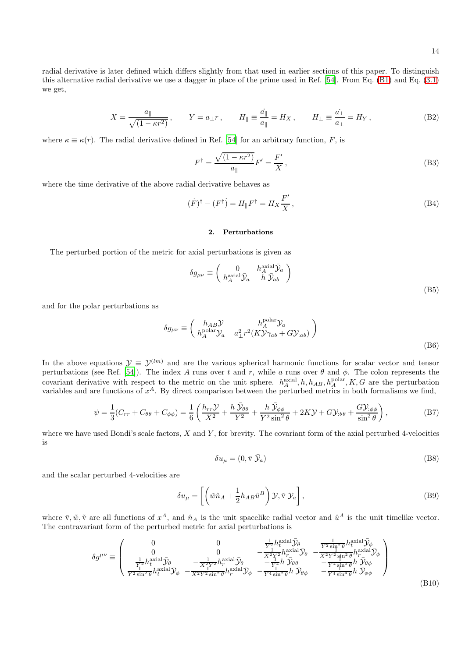radial derivative is later defined which differs slightly from that used in earlier sections of this paper. To distinguish this alternative radial derivative we use a dagger in place of the prime used in Ref. [\[54\]](#page-15-17). From Eq. [\(B1\)](#page-12-2) and Eq. [\(3.1\)](#page-2-2) we get,

<span id="page-13-2"></span>
$$
X = \frac{a_{\parallel}}{\sqrt{(1 - \kappa r^2)}}, \qquad Y = a_{\perp} r, \qquad H_{\parallel} \equiv \frac{\dot{a_{\parallel}}}{a_{\parallel}} = H_X, \qquad H_{\perp} \equiv \frac{\dot{a_{\perp}}}{a_{\perp}} = H_Y, \tag{B2}
$$

where  $\kappa \equiv \kappa(r)$ . The radial derivative defined in Ref. [\[54](#page-15-17)] for an arbitrary function, F, is

<span id="page-13-1"></span>
$$
F^{\dagger} = \frac{\sqrt{(1 - \kappa r^2)}}{a_{\parallel}} F' = \frac{F'}{X},\tag{B3}
$$

where the time derivative of the above radial derivative behaves as

$$
(\dot{F})^{\dagger} - (F^{\dagger}) = H_{\parallel} F^{\dagger} = H_X \frac{F'}{X}, \qquad (B4)
$$

### 2. Perturbations

The perturbed portion of the metric for axial perturbations is given as

$$
\delta g_{\mu\nu} \equiv \begin{pmatrix} 0 & h_A^{\text{axial}} \bar{\mathcal{Y}}_a \\ h_A^{\text{axial}} \bar{\mathcal{Y}}_a & h \bar{\mathcal{Y}}_{ab} \end{pmatrix}
$$
(B5)

and for the polar perturbations as

$$
\delta g_{\mu\nu} \equiv \begin{pmatrix} h_{AB} \mathcal{Y} & h_A^{\text{polar}} \mathcal{Y}_a \\ h_A^{\text{polar}} \mathcal{Y}_a & a_\perp^2 r^2 (K \mathcal{Y} \gamma_{ab} + G \mathcal{Y}_{:ab}) \end{pmatrix}
$$
\n(B6)

In the above equations  $\mathcal{Y} \equiv \mathcal{Y}^{(lm)}$  and are the various spherical harmonic functions for scalar vector and tensor perturbations (see Ref. [\[54\]](#page-15-17)). The index A runs over t and r, while a runs over  $\theta$  and  $\phi$ . The colon represents the covariant derivative with respect to the metric on the unit sphere.  $h_A^{\text{axial}}, h, h_{AB}, h_A^{\text{polar}}, K, G$  are the perturbation variables and are functions of  $x^A$ . By direct comparison between the perturbed metrics in both formalisms we find,

<span id="page-13-0"></span>
$$
\psi = \frac{1}{3}(C_{rr} + C_{\theta\theta} + C_{\phi\phi}) = \frac{1}{6}\left(\frac{h_{rr}\mathcal{Y}}{X^2} + \frac{h\,\bar{\mathcal{Y}}_{\theta\theta}}{Y^2} + \frac{h\,\bar{\mathcal{Y}}_{\phi\phi}}{Y^2\sin^2\theta} + 2K\mathcal{Y} + G\mathcal{Y}_{:\theta\theta} + \frac{G\mathcal{Y}_{:\phi\phi}}{\sin^2\theta}\right),\tag{B7}
$$

where we have used Bondi's scale factors,  $X$  and  $Y$ , for brevity. The covariant form of the axial perturbed 4-velocities is

$$
\delta u_{\mu} = (0, \bar{\mathbf{v}} \ \bar{\mathcal{Y}}_a) \tag{B8}
$$

and the scalar perturbed 4-velocities are

$$
\delta u_{\mu} = \left[ \left( \tilde{w}\hat{n}_A + \frac{1}{2} h_{AB} \hat{u}^B \right) \mathcal{Y}, \tilde{v} \mathcal{Y}_a \right],
$$
 (B9)

where  $\bar{v}, \tilde{w}, \tilde{v}$  are all functions of  $x^A$ , and  $\hat{n}_A$  is the unit spacelike radial vector and  $\hat{u}^A$  is the unit timelike vector. The contravariant form of the perturbed metric for axial perturbations is

$$
\delta g^{\mu\nu} \equiv \begin{pmatrix}\n0 & 0 & \frac{1}{Y^2} h_t^{\text{axial}} \bar{\mathcal{Y}}_{\theta} & \frac{1}{Y^2 \sin^2 \theta} h_t^{\text{axial}} \bar{\mathcal{Y}}_{\phi} \\
0 & 0 & -\frac{1}{X^2 Y^2} h_r^{\text{axial}} \bar{\mathcal{Y}}_{\theta} & -\frac{1}{X^2 Y^2} h_r^{\text{axial}} \bar{\mathcal{Y}}_{\theta} \\
\frac{1}{Y^2} h_t^{\text{axial}} \bar{\mathcal{Y}}_{\theta} & -\frac{1}{X^2 Y^2} h_r^{\text{axial}} \bar{\mathcal{Y}}_{\theta} & -\frac{1}{Y^4} h \bar{\mathcal{Y}}_{\theta \theta} & -\frac{1}{Y^4 \sin^2 \theta} h \bar{\mathcal{Y}}_{\theta \phi} \\
\frac{1}{Y^2 \sin^2 \theta} h_t^{\text{axial}} \bar{\mathcal{Y}}_{\phi} & -\frac{1}{X^2 Y^2 \sin^2 \theta} h_r^{\text{axial}} \bar{\mathcal{Y}}_{\phi} & -\frac{1}{Y^4 \sin^2 \theta} h \bar{\mathcal{Y}}_{\theta \phi} & -\frac{1}{Y^4 \sin^4 \theta} h \bar{\mathcal{Y}}_{\phi \phi}\n\end{pmatrix}
$$
\n(B10)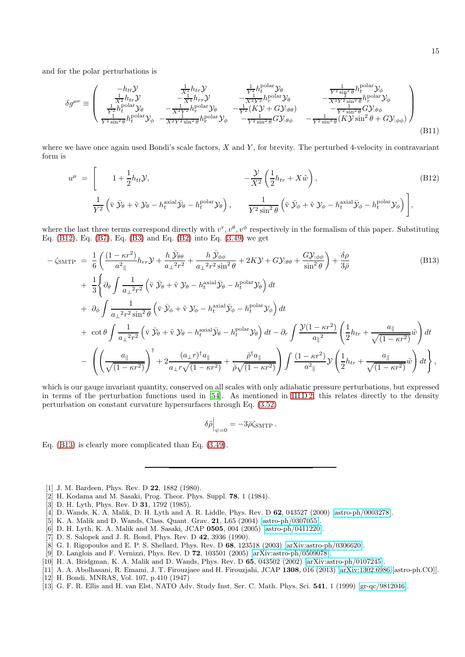and for the polar perturbations is

$$
\delta g^{\mu\nu} \equiv \begin{pmatrix}\n-h_{tt}\mathcal{Y} & \frac{1}{X^2}h_{tr}\mathcal{Y} & \frac{1}{Y^2}h_{\theta}^{\text{polar}}\mathcal{Y}_{\theta} & \frac{1}{Y^2\sin^2\theta}h_t^{\text{polar}}\mathcal{Y}_{\phi} \\
\frac{1}{X^2}h_{tr}\mathcal{Y} & -\frac{1}{X^4}h_{rr}\mathcal{Y} & -\frac{1}{X^2Y^2}h_r^{\text{polar}}\mathcal{Y}_{\theta} & -\frac{1}{X^2Y^2\sin^2\theta}h_r^{\text{polar}}\mathcal{Y}_{\phi} \\
\frac{1}{Y^2}h_t^{\text{polar}}\mathcal{Y}_{\theta} & -\frac{1}{X^2Y^2}h_r^{\text{polar}}\mathcal{Y}_{\theta} & -\frac{1}{Y^2}(\mathcal{K}\mathcal{Y} + \mathcal{G}\mathcal{Y}_{\theta\theta}) & -\frac{1}{Y^2\sin^2\theta}(\mathcal{G}\mathcal{Y}_{\theta\phi}) \\
\frac{1}{Y^2\sin^2\theta}h_t^{\text{polar}}\mathcal{Y}_{\phi} & -\frac{1}{X^2Y^2\sin^2\theta}h_r^{\text{polar}}\mathcal{Y}_{\phi} & -\frac{1}{Y^2\sin^2\theta}(\mathcal{G}\mathcal{Y}_{\theta\phi} & -\frac{1}{Y^2\sin^4\theta}(\mathcal{K}\mathcal{Y}\sin^2\theta + \mathcal{G}\mathcal{Y}_{\phi\phi})\n\end{pmatrix}
$$
\n(B11)

where we have once again used Bondi's scale factors,  $X$  and  $Y$ , for brevity. The perturbed 4-velocity in contravariant form is

<span id="page-14-10"></span>
$$
u^{\mu} = \begin{bmatrix} 1 + \frac{1}{2} h_{tt} \mathcal{Y}, & -\frac{\mathcal{Y}}{X^2} \left( \frac{1}{2} h_{tr} + X \tilde{w} \right), \\ \frac{1}{Y^2} \left( \bar{\mathbf{v}} \, \bar{\mathcal{Y}}_{\theta} + \tilde{\mathbf{v}} \, \mathcal{Y}_{\theta} - h_t^{\text{axial}} \bar{\mathcal{Y}}_{\theta} - h_t^{\text{polar}} \mathcal{Y}_{\theta} \right), & \frac{1}{Y^2 \sin^2 \theta} \left( \bar{\mathbf{v}} \, \bar{\mathcal{Y}}_{\phi} + \tilde{\mathbf{v}} \, \mathcal{Y}_{\phi} - h_t^{\text{axial}} \bar{\mathcal{Y}}_{\phi} - h_t^{\text{polar}} \mathcal{Y}_{\phi} \right) \end{bmatrix},
$$
\n(B12)

where the last three terms correspond directly with  $v^r, v^{\theta}, v^{\phi}$  respectively in the formalism of this paper. Substituting Eq. [\(B12\)](#page-14-10), Eq. [\(B7\)](#page-13-0), Eq. [\(B3\)](#page-13-1) and Eq. [\(B2\)](#page-13-2) into Eq. [\(3.49\)](#page-7-2) we get

<span id="page-14-11"></span>
$$
-\zeta_{\text{SMTP}} = \frac{1}{6} \left( \frac{(1 - \kappa r^2)}{a^2_{\parallel}} h_{rr} \mathcal{Y} + \frac{h \bar{\mathcal{Y}}_{\theta\theta}}{a_{\perp}^2 r^2} + \frac{h \bar{\mathcal{Y}}_{\phi\phi}}{a_{\perp}^2 r^2 \sin^2 \theta} + 2K \mathcal{Y} + G \mathcal{Y}_{:\theta\theta} + \frac{G \mathcal{Y}_{:\phi\phi}}{\sin^2 \theta} \right) + \frac{\delta \rho}{3\bar{\rho}}
$$
(B13)  
+  $\frac{1}{3} \left\{ \partial_{\theta} \int \frac{1}{a_{\perp}^2 r^2} \left( \bar{v} \bar{\mathcal{Y}}_{\theta} + \tilde{v} \mathcal{Y}_{\theta} - h_{t}^{\text{axial}} \bar{\mathcal{Y}}_{\theta} - h_{t}^{\text{polar}} \mathcal{Y}_{\theta} \right) dt \right.$   
+  $\partial_{\phi} \int \frac{1}{a_{\perp}^2 r^2 \sin^2 \theta} \left( \bar{v} \bar{\mathcal{Y}}_{\theta} + \tilde{v} \mathcal{Y}_{\phi} - h_{t}^{\text{axial}} \bar{\mathcal{Y}}_{\phi} - h_{t}^{\text{polar}} \mathcal{Y}_{\phi} \right) dt$   
+  $\cot \theta \int \frac{1}{a_{\perp}^2 r^2} \left( \bar{v} \bar{\mathcal{Y}}_{\theta} + \tilde{v} \mathcal{Y}_{\theta} - h_{t}^{\text{axial}} \bar{\mathcal{Y}}_{\theta} - h_{t}^{\text{polar}} \mathcal{Y}_{\theta} \right) dt - \partial_{r} \int \frac{\mathcal{Y}(1 - \kappa r^2)}{a_{\parallel}^2} \left( \frac{1}{2} h_{tr} + \frac{a_{\parallel}}{\sqrt{(1 - \kappa r^2)}} \tilde{w} \right) dt$   
-  $\left( \left( \frac{a_{\parallel}}{\sqrt{(1 - \kappa r^2)}} \right)^{\dagger} + 2 \frac{(a_{\perp} r)^{\dagger} a_{\parallel}}{a_{\perp} r \sqrt{(1 - \kappa r^2)}} + \frac{\bar{\rho}^{\dagger} a_{\parallel}}{\bar{\rho} \sqrt{(1 - \kappa r^2)}} \right) \int \$ 

which is our gauge invariant quantity, conserved on all scales with only adiabatic pressure perturbations, but expressed in terms of the perturbation functions used in  $[54]$ . As mentioned in IIID 2, this relates directly to the density perturbation on constant curvature hypersurfaces through Eq. [\(3.52\)](#page-7-5)

$$
\delta\tilde{\rho}\Big|_{\psi=0} = -3\bar{\rho}\zeta_{\text{SMTP}}.
$$

Eq. [\(B13\)](#page-14-11) is clearly more complicated than Eq. [\(3.49\)](#page-7-2).

- <span id="page-14-0"></span>[1] J. M. Bardeen, Phys. Rev. D 22, 1882 (1980).
- <span id="page-14-1"></span>[2] H. Kodama and M. Sasaki, Prog. Theor. Phys. Suppl. 78, 1 (1984).
- <span id="page-14-2"></span>[3] D. H. Lyth, Phys. Rev. D **31**, 1792 (1985).
- <span id="page-14-3"></span>[4] D. Wands, K. A. Malik, D. H. Lyth and A. R. Liddle, Phys. Rev. D 62, 043527 (2000) [\[astro-ph/0003278\]](http://arxiv.org/abs/astro-ph/0003278).
- [5] K. A. Malik and D. Wands, Class. Quant. Grav. 21, L65 (2004) [\[astro-ph/0307055\]](http://arxiv.org/abs/astro-ph/0307055).
- <span id="page-14-4"></span>[6] D. H. Lyth, K. A. Malik and M. Sasaki, JCAP 0505, 004 (2005) [\[astro-ph/0411220\]](http://arxiv.org/abs/astro-ph/0411220).
- [7] D. S. Salopek and J. R. Bond, Phys. Rev. D 42, 3936 (1990).
- [8] G. I. Rigopoulos and E. P. S. Shellard, Phys. Rev. D 68, 123518 (2003) [\[arXiv:astro-ph/0306620\]](http://arxiv.org/abs/astro-ph/0306620).
- <span id="page-14-5"></span>[9] D. Langlois and F. Vernizzi, Phys. Rev. D 72, 103501 (2005) [\[arXiv:astro-ph/0509078\]](http://arxiv.org/abs/astro-ph/0509078).
- <span id="page-14-6"></span>[10] H. A. Bridgman, K. A. Malik and D. Wands, Phys. Rev. D 65, 043502 (2002) [\[arXiv:astro-ph/0107245\]](http://arxiv.org/abs/astro-ph/0107245).
- <span id="page-14-7"></span>[11] A. A. Abolhasani, R. Emami, J. T. Firouzjaee and H. Firouzjahi, JCAP 1308, 016 (2013) [\[arXiv:1302.6986](http://arxiv.org/abs/1302.6986) [astro-ph.CO]]. [12] H. Bondi, MNRAS, Vol. 107, p.410 (1947)
- <span id="page-14-9"></span><span id="page-14-8"></span>[13] G. F. R. Ellis and H. van Elst, NATO Adv. Study Inst. Ser. C. Math. Phys. Sci. 541, 1 (1999) [\[gr-qc/9812046\]](http://arxiv.org/abs/gr-qc/9812046).